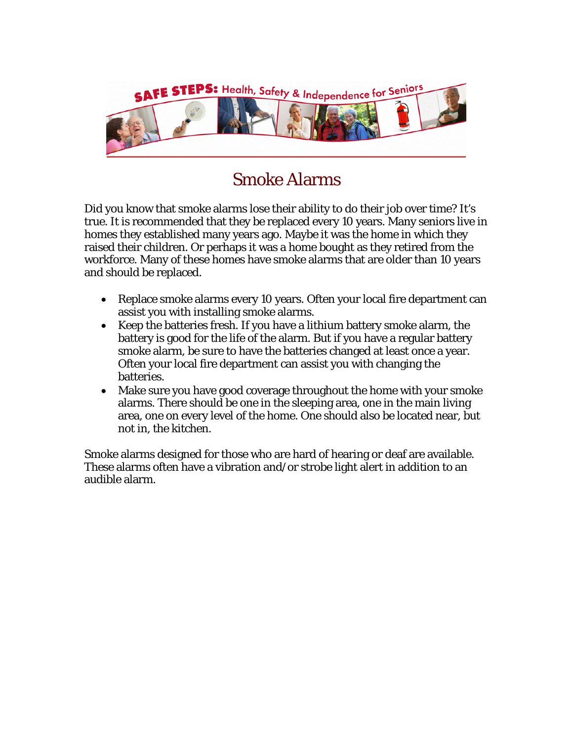

## Smoke Alarms

Did you know that smoke alarms lose their ability to do their job over time? It's true. It is recommended that they be replaced every 10 years. Many seniors live in homes they established many years ago. Maybe it was the home in which they raised their children. Or perhaps it was a home bought as they retired from the workforce. Many of these homes have smoke alarms that are older than 10 years and should be replaced.

- Replace smoke alarms every 10 years. Often your local fire department can assist you with installing smoke alarms.
- Keep the batteries fresh. If you have a lithium battery smoke alarm, the battery is good for the life of the alarm. But if you have a regular battery smoke alarm, be sure to have the batteries changed at least once a year. Often your local fire department can assist you with changing the batteries.
- Make sure you have good coverage throughout the home with your smoke alarms. There should be one in the sleeping area, one in the main living area, one on every level of the home. One should also be located near, but not in, the kitchen.

Smoke alarms designed for those who are hard of hearing or deaf are available. These alarms often have a vibration and/or strobe light alert in addition to an audible alarm.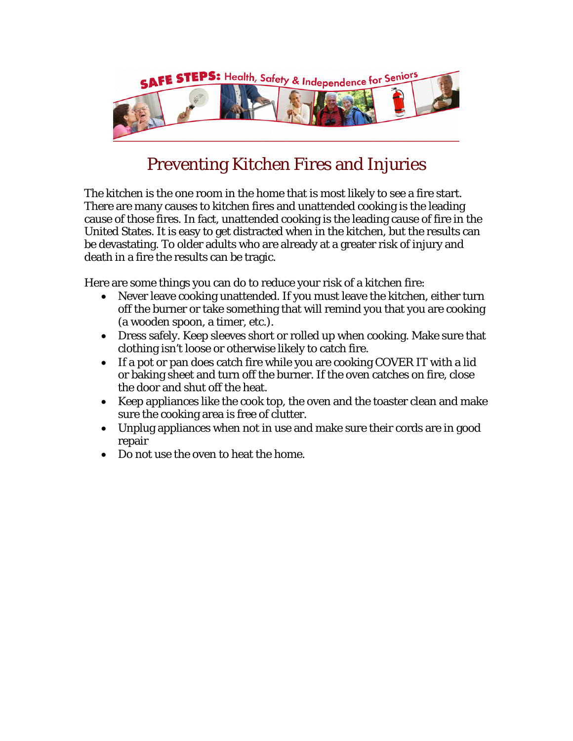

## Preventing Kitchen Fires and Injuries

The kitchen is the one room in the home that is most likely to see a fire start. There are many causes to kitchen fires and unattended cooking is the leading cause of those fires. In fact, unattended cooking is the leading cause of fire in the United States. It is easy to get distracted when in the kitchen, but the results can be devastating. To older adults who are already at a greater risk of injury and death in a fire the results can be tragic.

Here are some things you can do to reduce your risk of a kitchen fire:

- Never leave cooking unattended. If you must leave the kitchen, either turn off the burner or take something that will remind you that you are cooking (a wooden spoon, a timer, etc.).
- Dress safely. Keep sleeves short or rolled up when cooking. Make sure that clothing isn't loose or otherwise likely to catch fire.
- If a pot or pan does catch fire while you are cooking COVER IT with a lid or baking sheet and turn off the burner. If the oven catches on fire, close the door and shut off the heat.
- Keep appliances like the cook top, the oven and the toaster clean and make sure the cooking area is free of clutter.
- Unplug appliances when not in use and make sure their cords are in good repair
- Do not use the oven to heat the home.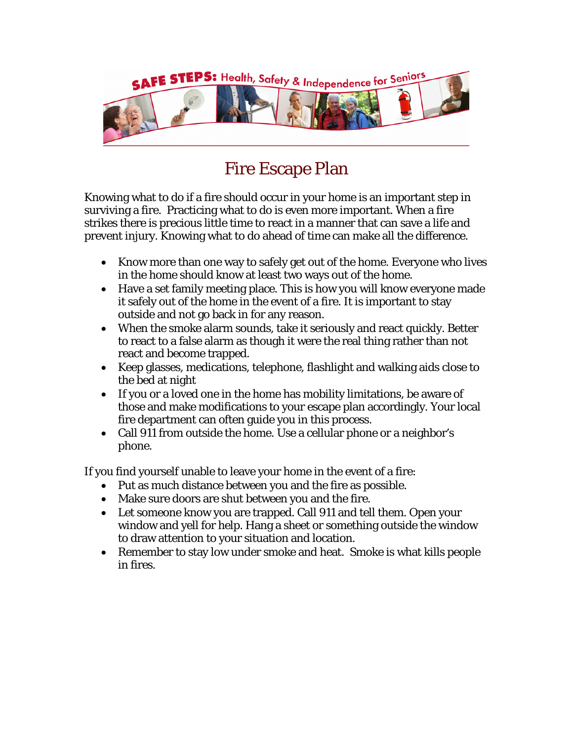

## Fire Escape Plan

Knowing what to do if a fire should occur in your home is an important step in surviving a fire. Practicing what to do is even more important. When a fire strikes there is precious little time to react in a manner that can save a life and prevent injury. Knowing what to do ahead of time can make all the difference.

- Know more than one way to safely get out of the home. Everyone who lives in the home should know at least two ways out of the home.
- Have a set family meeting place. This is how you will know everyone made it safely out of the home in the event of a fire. It is important to stay outside and not go back in for any reason.
- When the smoke alarm sounds, take it seriously and react quickly. Better to react to a false alarm as though it were the real thing rather than not react and become trapped.
- Keep glasses, medications, telephone, flashlight and walking aids close to the bed at night
- If you or a loved one in the home has mobility limitations, be aware of those and make modifications to your escape plan accordingly. Your local fire department can often guide you in this process.
- Call 911 from outside the home. Use a cellular phone or a neighbor's phone.

If you find yourself unable to leave your home in the event of a fire:

- Put as much distance between you and the fire as possible.
- Make sure doors are shut between you and the fire.
- Let someone know you are trapped. Call 911 and tell them. Open your window and yell for help. Hang a sheet or something outside the window to draw attention to your situation and location.
- Remember to stay low under smoke and heat. Smoke is what kills people in fires.